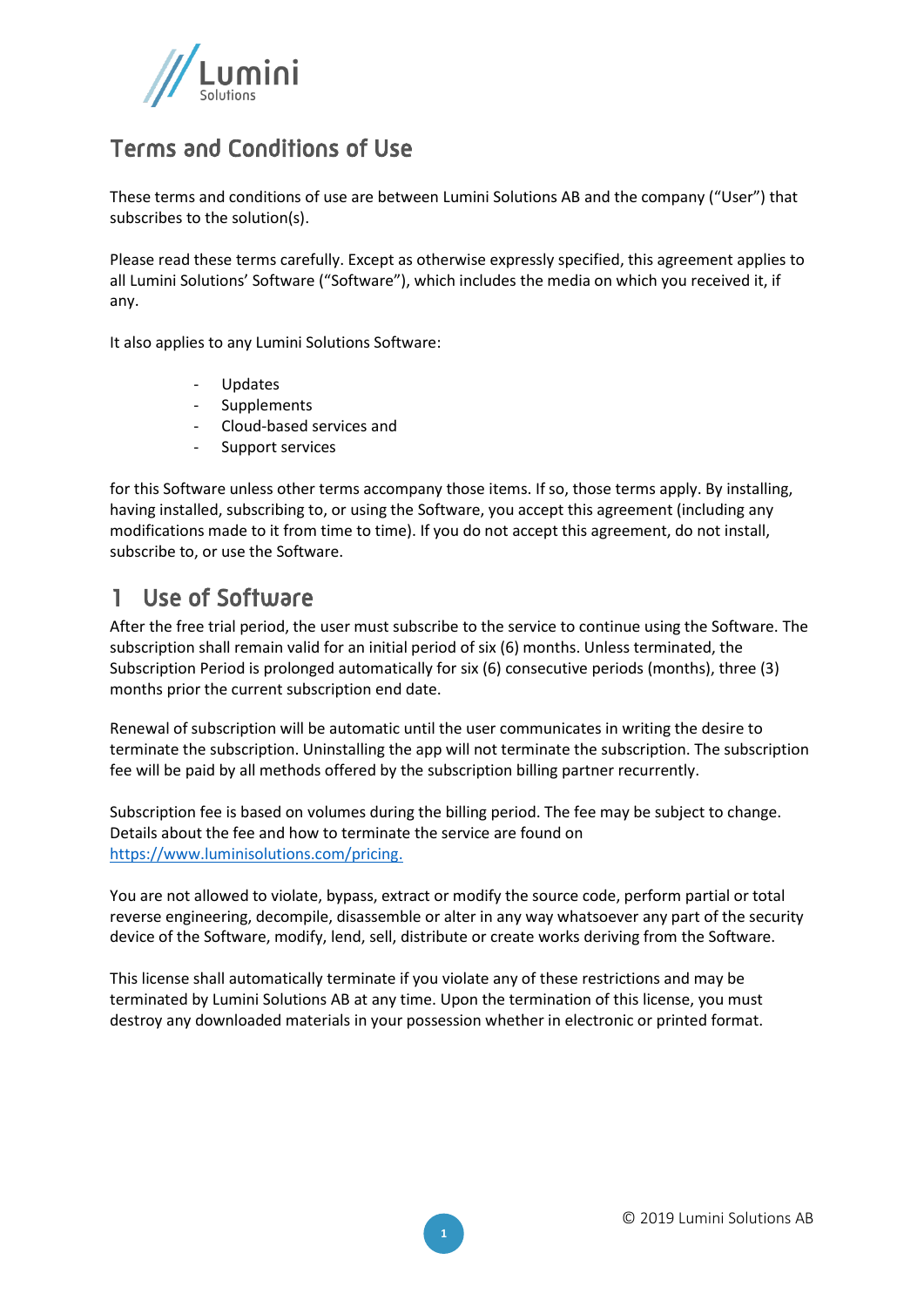

#### Terms and Conditions of Use

These terms and conditions of use are between Lumini Solutions AB and the company ("User") that subscribes to the solution(s).

Please read these terms carefully. Except as otherwise expressly specified, this agreement applies to all Lumini Solutions' Software ("Software"), which includes the media on which you received it, if any.

It also applies to any Lumini Solutions Software:

- Updates
- **Supplements**
- Cloud-based services and
- Support services

for this Software unless other terms accompany those items. If so, those terms apply. By installing, having installed, subscribing to, or using the Software, you accept this agreement (including any modifications made to it from time to time). If you do not accept this agreement, do not install, subscribe to, or use the Software.

#### 1 Use of Software

After the free trial period, the user must subscribe to the service to continue using the Software. The subscription shall remain valid for an initial period of six (6) months. Unless terminated, the Subscription Period is prolonged automatically for six (6) consecutive periods (months), three (3) months prior the current subscription end date.

Renewal of subscription will be automatic until the user communicates in writing the desire to terminate the subscription. Uninstalling the app will not terminate the subscription. The subscription fee will be paid by all methods offered by the subscription billing partner recurrently.

Subscription fee is based on volumes during the billing period. The fee may be subject to change. Details about the fee and how to terminate the service are found on [https://www.luminisolutions.com/pricing.](https://www.luminisolutions.com/pricing)

You are not allowed to violate, bypass, extract or modify the source code, perform partial or total reverse engineering, decompile, disassemble or alter in any way whatsoever any part of the security device of the Software, modify, lend, sell, distribute or create works deriving from the Software.

This license shall automatically terminate if you violate any of these restrictions and may be terminated by Lumini Solutions AB at any time. Upon the termination of this license, you must destroy any downloaded materials in your possession whether in electronic or printed format.